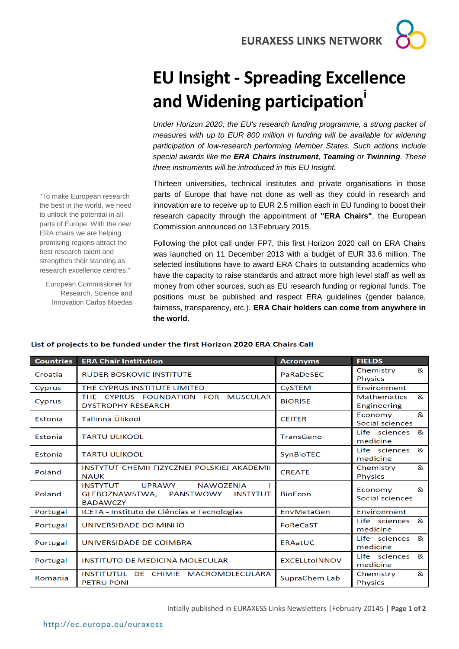**EURAXESS LINKS NETWORK**

## **EU Insight - Spreading Excellence and Widening participation<sup>i</sup>**

*Under Horizon 2020, the EU's research funding programme, a strong packet of measures with up to EUR 800 million in funding will be available for widening participation of low-research performing Member States. Such actions include special awards like the ERA Chairs instrument, Teaming or Twinning. These three instruments will be introduced in this EU Insight.*

Thirteen universities, technical institutes and private organisations in those parts of Europe that have not done as well as they could in research and innovation are to receive up to EUR 2.5 million each in EU funding to boost their research capacity through the appointment of **"ERA Chairs"**, the European Commission announced on 13 February 2015.

Following the pilot call under FP7, this first Horizon 2020 call on ERA Chairs was launched on 11 December 2013 with a budget of EUR 33.6 million. The selected institutions have to award ERA Chairs to outstanding academics who have the capacity to raise standards and attract more high level staff as well as money from other sources, such as EU research funding or regional funds. The positions must be published and respect ERA guidelines (gender balance, fairness, transparency, etc.). **ERA Chair holders can come from anywhere in the world.**

| <b>Countries</b> | <b>ERA Chair Institution</b>                                                                                    | <b>Acronyms</b>      | <b>FIELDS</b>                          |
|------------------|-----------------------------------------------------------------------------------------------------------------|----------------------|----------------------------------------|
| Croatia          | <b>RUDER BOSKOVIC INSTITUTE</b>                                                                                 | PaRaDeSEC            | &<br>Chemistry<br><b>Physics</b>       |
| Cyprus           | THE CYPRUS INSTITUTE LIMITED                                                                                    | CySTEM               | Environment                            |
| Cyprus           | THE CYPRUS FOUNDATION FOR<br><b>MUSCULAR</b><br><b>DYSTROPHY RESEARCH</b>                                       | <b>BIORISE</b>       | &<br><b>Mathematics</b><br>Engineering |
| Estonia          | Tallinna Ülikool                                                                                                | <b>CEITER</b>        | &<br>Economy<br>Social sciences        |
| Estonia          | <b>TARTU ULIKOOL</b>                                                                                            | TransGeno            | Life sciences<br>&<br>medicine         |
| Estonia          | <b>TARTU ULIKOOL</b>                                                                                            | SynBioTEC            | Life sciences<br>&<br>medicine         |
| Poland           | INSTYTUT CHEMII FIZYCZNEJ POLSKIEJ AKADEMII<br><b>NAUK</b>                                                      | <b>CREATE</b>        | &<br>Chemistry<br><b>Physics</b>       |
| Poland           | <b>UPRAWY</b><br>NAWO7FNIA<br><b>INSTYTUT</b><br>GLEBOZNAWSTWA, PANSTWOWY<br><b>INSTYTUT</b><br><b>BADAWCZY</b> | <b>BioEcon</b>       | Economy<br>&<br>Social sciences        |
| Portugal         | ICETA - Instituto de Ciências e Tecnologias                                                                     | EnvMetaGen           | Environment                            |
| Portugal         | UNIVERSIDADE DO MINHO                                                                                           | FoReCaST             | &<br>Life sciences<br>medicine         |
| Portugal         | UNIVERSIDADE DE COIMBRA                                                                                         | <b>ERAatUC</b>       | Life sciences<br>&<br>medicine         |
| Portugal         | INSTITUTO DE MEDICINA MOLECULAR                                                                                 | <b>EXCELLtoINNOV</b> | Life sciences<br>&<br>medicine         |
| Romania          | INSTITUTUL DE CHIMIE MACROMOLECULARA<br><b>PETRU PONI</b>                                                       | SupraChem Lab        | &<br>Chemistry<br><b>Physics</b>       |

## List of projects to be funded under the first Horizon 2020 ERA Chairs Call

"To make European research the best in the world, we need to unlock the potential in all parts of Europe. With the new ERA chairs we are helping promising regions attract the best research talent and strengthen their standing as research excellence centres." European Commissioner for Research, Science and Innovation Carlos Moedas